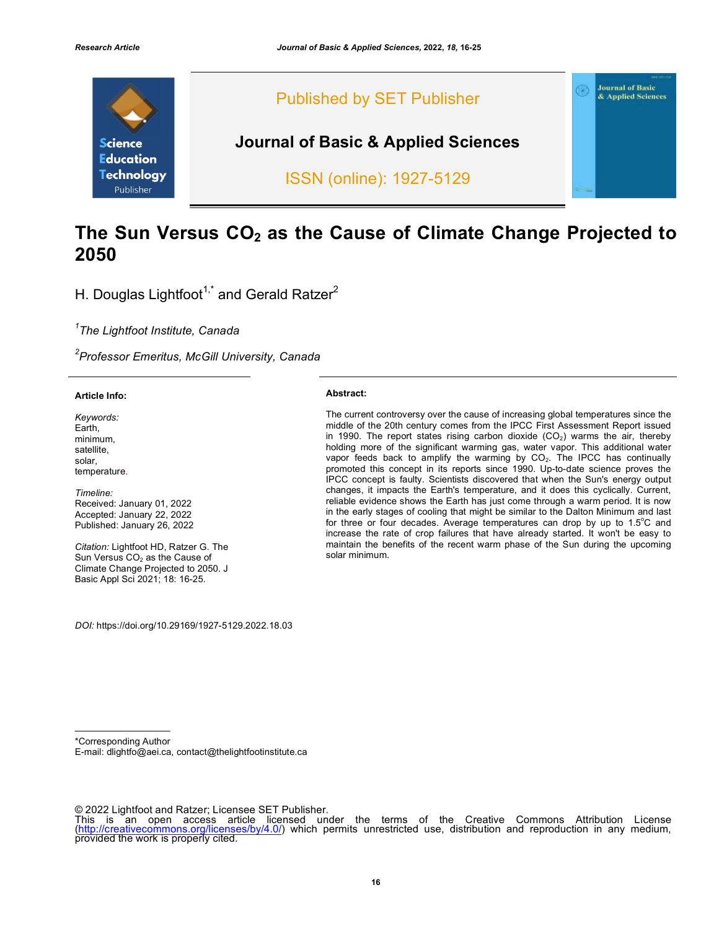

# The Sun Versus CO<sub>2</sub> as the Cause of Climate Change Projected to **2050**

H. Douglas Lightfoot<sup>1,\*</sup> and Gerald Ratzer<sup>2</sup>

*1 The Lightfoot Institute, Canada*

*2 Professor Emeritus, McGill University, Canada*

#### **Article Info:**

*Keywords:* Earth, minimum, satellite, solar, temperature.

*Timeline:* Received: January 01, 2022 Accepted: January 22, 2022 Published: January 26, 2022

*Citation:* Lightfoot HD, Ratzer G. The Sun Versus CO<sub>2</sub> as the Cause of Climate Change Projected to 2050. J Basic Appl Sci 2021; 18: 16-25.

**Abstract:** 

The current controversy over the cause of increasing global temperatures since the middle of the 20th century comes from the IPCC First Assessment Report issued in 1990. The report states rising carbon dioxide  $(CO<sub>2</sub>)$  warms the air, thereby holding more of the significant warming gas, water vapor. This additional water vapor feeds back to amplify the warming by  $CO<sub>2</sub>$ . The IPCC has continually promoted this concept in its reports since 1990. Up-to-date science proves the IPCC concept is faulty. Scientists discovered that when the Sun's energy output changes, it impacts the Earth's temperature, and it does this cyclically. Current, reliable evidence shows the Earth has just come through a warm period. It is now in the early stages of cooling that might be similar to the Dalton Minimum and last for three or four decades. Average temperatures can drop by up to  $1.5^{\circ}$ C and increase the rate of crop failures that have already started. It won't be easy to maintain the benefits of the recent warm phase of the Sun during the upcoming solar minimum.

*DOI:* https://doi.org/10.29169/1927-5129.2022.18.03

\*Corresponding Author

E-mail: dlightfo@aei.ca, contact@thelightfootinstitute.ca

<sup>© 2022</sup> Lightfoot and Ratzer; Licensee SET Publisher.<br>This is an open access article licensed under the terms of the Creative Commons Attribution License (http://creativecommons.org/licenses/by/4.0/) which permits unrestricted use, distribution and reproduction in any medium, provided the work is properly cited.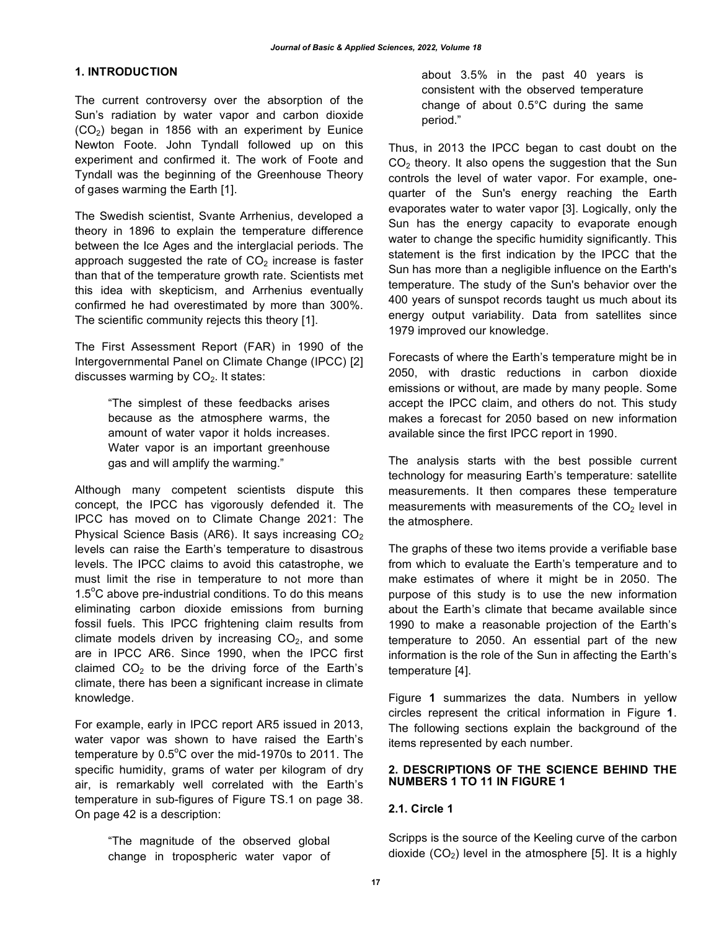#### **1. INTRODUCTION**

The current controversy over the absorption of the Sun's radiation by water vapor and carbon dioxide (CO2) began in 1856 with an experiment by Eunice Newton Foote. John Tyndall followed up on this experiment and confirmed it. The work of Foote and Tyndall was the beginning of the Greenhouse Theory of gases warming the Earth [1].

The Swedish scientist, Svante Arrhenius, developed a theory in 1896 to explain the temperature difference between the Ice Ages and the interglacial periods. The approach suggested the rate of  $CO<sub>2</sub>$  increase is faster than that of the temperature growth rate. Scientists met this idea with skepticism, and Arrhenius eventually confirmed he had overestimated by more than 300%. The scientific community rejects this theory [1].

The First Assessment Report (FAR) in 1990 of the Intergovernmental Panel on Climate Change (IPCC) [2] discusses warming by  $CO<sub>2</sub>$ . It states:

> "The simplest of these feedbacks arises because as the atmosphere warms, the amount of water vapor it holds increases. Water vapor is an important greenhouse gas and will amplify the warming."

Although many competent scientists dispute this concept, the IPCC has vigorously defended it. The IPCC has moved on to Climate Change 2021: The Physical Science Basis (AR6). It says increasing  $CO<sub>2</sub>$ levels can raise the Earth's temperature to disastrous levels. The IPCC claims to avoid this catastrophe, we must limit the rise in temperature to not more than 1.5°C above pre-industrial conditions. To do this means eliminating carbon dioxide emissions from burning fossil fuels. This IPCC frightening claim results from climate models driven by increasing  $CO<sub>2</sub>$ , and some are in IPCC AR6. Since 1990, when the IPCC first claimed  $CO<sub>2</sub>$  to be the driving force of the Earth's climate, there has been a significant increase in climate knowledge.

For example, early in IPCC report AR5 issued in 2013, water vapor was shown to have raised the Earth's temperature by  $0.5^{\circ}$ C over the mid-1970s to 2011. The specific humidity, grams of water per kilogram of dry air, is remarkably well correlated with the Earth's temperature in sub-figures of Figure TS.1 on page 38. On page 42 is a description:

> "The magnitude of the observed global change in tropospheric water vapor of

about 3.5% in the past 40 years is consistent with the observed temperature change of about 0.5°C during the same period."

Thus, in 2013 the IPCC began to cast doubt on the  $CO<sub>2</sub>$  theory. It also opens the suggestion that the Sun controls the level of water vapor. For example, onequarter of the Sun's energy reaching the Earth evaporates water to water vapor [3]. Logically, only the Sun has the energy capacity to evaporate enough water to change the specific humidity significantly. This statement is the first indication by the IPCC that the Sun has more than a negligible influence on the Earth's temperature. The study of the Sun's behavior over the 400 years of sunspot records taught us much about its energy output variability. Data from satellites since 1979 improved our knowledge.

Forecasts of where the Earth's temperature might be in 2050, with drastic reductions in carbon dioxide emissions or without, are made by many people. Some accept the IPCC claim, and others do not. This study makes a forecast for 2050 based on new information available since the first IPCC report in 1990.

The analysis starts with the best possible current technology for measuring Earth's temperature: satellite measurements. It then compares these temperature measurements with measurements of the  $CO<sub>2</sub>$  level in the atmosphere.

The graphs of these two items provide a verifiable base from which to evaluate the Earth's temperature and to make estimates of where it might be in 2050. The purpose of this study is to use the new information about the Earth's climate that became available since 1990 to make a reasonable projection of the Earth's temperature to 2050. An essential part of the new information is the role of the Sun in affecting the Earth's temperature [4].

Figure **1** summarizes the data. Numbers in yellow circles represent the critical information in Figure **1**. The following sections explain the background of the items represented by each number.

### **2. DESCRIPTIONS OF THE SCIENCE BEHIND THE NUMBERS 1 TO 11 IN FIGURE 1**

#### **2.1. Circle 1**

Scripps is the source of the Keeling curve of the carbon dioxide  $(CO<sub>2</sub>)$  level in the atmosphere [5]. It is a highly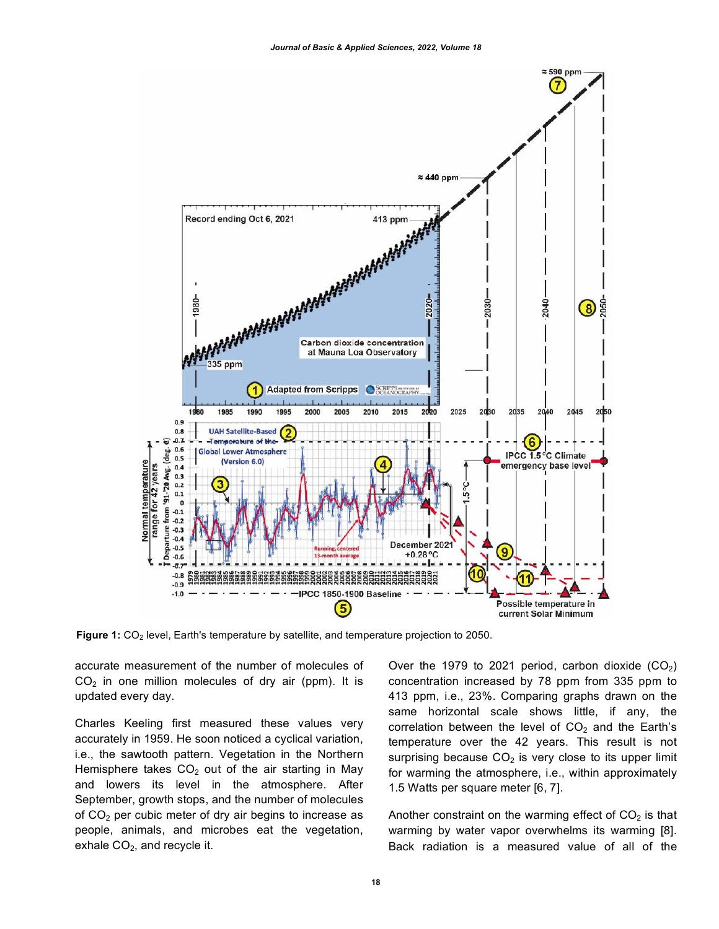

**Figure 1:** CO<sub>2</sub> level, Earth's temperature by satellite, and temperature projection to 2050.

accurate measurement of the number of molecules of  $CO<sub>2</sub>$  in one million molecules of dry air (ppm). It is updated every day.

Charles Keeling first measured these values very accurately in 1959. He soon noticed a cyclical variation, i.e., the sawtooth pattern. Vegetation in the Northern Hemisphere takes  $CO<sub>2</sub>$  out of the air starting in May and lowers its level in the atmosphere. After September, growth stops, and the number of molecules of  $CO<sub>2</sub>$  per cubic meter of dry air begins to increase as people, animals, and microbes eat the vegetation, exhale  $CO<sub>2</sub>$ , and recycle it.

Over the 1979 to 2021 period, carbon dioxide  $(CO<sub>2</sub>)$ concentration increased by 78 ppm from 335 ppm to 413 ppm, i.e., 23%. Comparing graphs drawn on the same horizontal scale shows little, if any, the correlation between the level of  $CO<sub>2</sub>$  and the Earth's temperature over the 42 years. This result is not surprising because  $CO<sub>2</sub>$  is very close to its upper limit for warming the atmosphere, i.e., within approximately 1.5 Watts per square meter [6, 7].

Another constraint on the warming effect of  $CO<sub>2</sub>$  is that warming by water vapor overwhelms its warming [8]. Back radiation is a measured value of all of the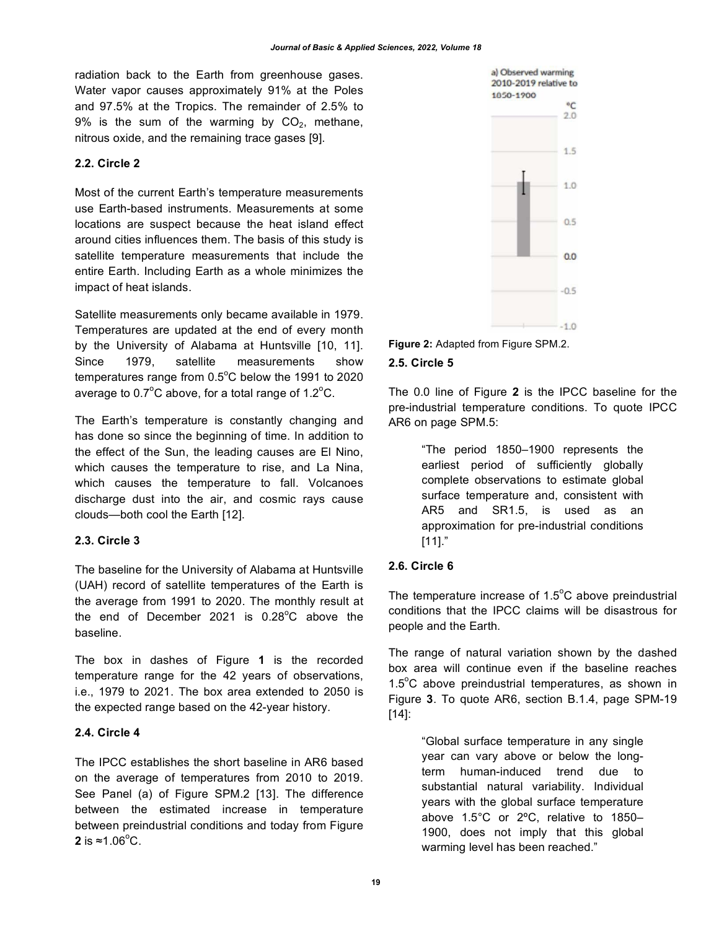radiation back to the Earth from greenhouse gases. Water vapor causes approximately 91% at the Poles and 97.5% at the Tropics. The remainder of 2.5% to 9% is the sum of the warming by  $CO<sub>2</sub>$ , methane, nitrous oxide, and the remaining trace gases [9].

## **2.2. Circle 2**

Most of the current Earth's temperature measurements use Earth-based instruments. Measurements at some locations are suspect because the heat island effect around cities influences them. The basis of this study is satellite temperature measurements that include the entire Earth. Including Earth as a whole minimizes the impact of heat islands.

Satellite measurements only became available in 1979. Temperatures are updated at the end of every month by the University of Alabama at Huntsville [10, 11]. Since 1979, satellite measurements show temperatures range from  $0.5^{\circ}$ C below the 1991 to 2020 average to 0.7 $\mathrm{^{\circ}C}$  above, for a total range of 1.2 $\mathrm{^{\circ}C}$ .

The Earth's temperature is constantly changing and has done so since the beginning of time. In addition to the effect of the Sun, the leading causes are El Nino, which causes the temperature to rise, and La Nina, which causes the temperature to fall. Volcanoes discharge dust into the air, and cosmic rays cause clouds—both cool the Earth [12].

# **2.3. Circle 3**

The baseline for the University of Alabama at Huntsville (UAH) record of satellite temperatures of the Earth is the average from 1991 to 2020. The monthly result at the end of December 2021 is  $0.28^{\circ}$ C above the baseline.

The box in dashes of Figure **1** is the recorded temperature range for the 42 years of observations, i.e., 1979 to 2021. The box area extended to 2050 is the expected range based on the 42-year history.

# **2.4. Circle 4**

The IPCC establishes the short baseline in AR6 based on the average of temperatures from 2010 to 2019. See Panel (a) of Figure SPM.2 [13]. The difference between the estimated increase in temperature between preindustrial conditions and today from Figure **2** is ≈1.06 $^{\circ}$ C.



**Figure 2:** Adapted from Figure SPM.2. **2.5. Circle 5**

The 0.0 line of Figure **2** is the IPCC baseline for the pre-industrial temperature conditions. To quote IPCC AR6 on page SPM.5:

> "The period 1850–1900 represents the earliest period of sufficiently globally complete observations to estimate global surface temperature and, consistent with AR5 and SR1.5, is used as an approximation for pre-industrial conditions [11]."

# **2.6. Circle 6**

The temperature increase of  $1.5^{\circ}$ C above preindustrial conditions that the IPCC claims will be disastrous for people and the Earth.

The range of natural variation shown by the dashed box area will continue even if the baseline reaches  $1.5^{\circ}$ C above preindustrial temperatures, as shown in Figure **3**. To quote AR6, section B.1.4, page SPM-19 [14]:

> "Global surface temperature in any single year can vary above or below the longterm human-induced trend due to substantial natural variability. Individual years with the global surface temperature above 1.5°C or 2ºC, relative to 1850– 1900, does not imply that this global warming level has been reached."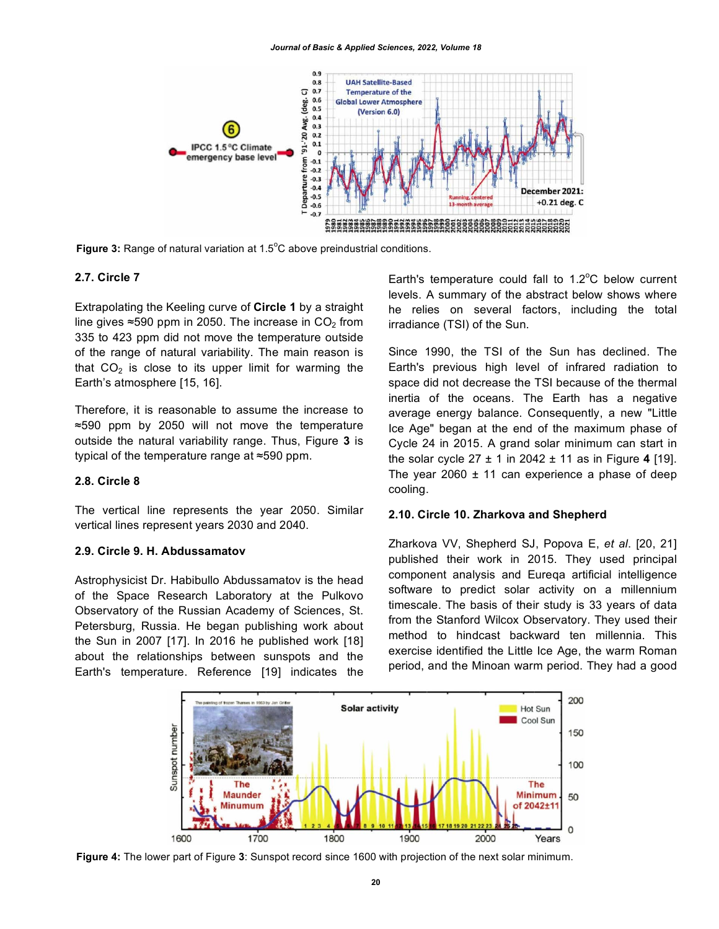

Figure 3: Range of natural variation at 1.5°C above preindustrial conditions.

#### **2.7. Circle 7**

Extrapolating the Keeling curve of **Circle 1** by a straight line gives  $\approx$ 590 ppm in 2050. The increase in CO<sub>2</sub> from 335 to 423 ppm did not move the temperature outside of the range of natural variability. The main reason is that  $CO<sub>2</sub>$  is close to its upper limit for warming the Earth's atmosphere [15, 16].

Therefore, it is reasonable to assume the increase to ≈590 ppm by 2050 will not move the temperature outside the natural variability range. Thus, Figure **3** is typical of the temperature range at ≈590 ppm.

#### **2.8. Circle 8**

The vertical line represents the year 2050. Similar vertical lines represent years 2030 and 2040.

#### **2.9. Circle 9. H. Abdussamatov**

Astrophysicist Dr. Habibullo Abdussamatov is the head of the Space Research Laboratory at the Pulkovo Observatory of the Russian Academy of Sciences, St. Petersburg, Russia. He began publishing work about the Sun in 2007 [17]. In 2016 he published work [18] about the relationships between sunspots and the Earth's temperature. Reference [19] indicates the

Earth's temperature could fall to  $1.2^{\circ}$ C below current levels. A summary of the abstract below shows where he relies on several factors, including the total irradiance (TSI) of the Sun.

Since 1990, the TSI of the Sun has declined. The Earth's previous high level of infrared radiation to space did not decrease the TSI because of the thermal inertia of the oceans. The Earth has a negative average energy balance. Consequently, a new "Little Ice Age" began at the end of the maximum phase of Cycle 24 in 2015. A grand solar minimum can start in the solar cycle 27 ± 1 in 2042 ± 11 as in Figure **4** [19]. The year 2060  $\pm$  11 can experience a phase of deep cooling.

#### **2.10. Circle 10. Zharkova and Shepherd**

Zharkova VV, Shepherd SJ, Popova E, *et al*. [20, 21] published their work in 2015. They used principal component analysis and Eureqa artificial intelligence software to predict solar activity on a millennium timescale. The basis of their study is 33 years of data from the Stanford Wilcox Observatory. They used their method to hindcast backward ten millennia. This exercise identified the Little Ice Age, the warm Roman period, and the Minoan warm period. They had a good



**Figure 4:** The lower part of Figure **3**: Sunspot record since 1600 with projection of the next solar minimum.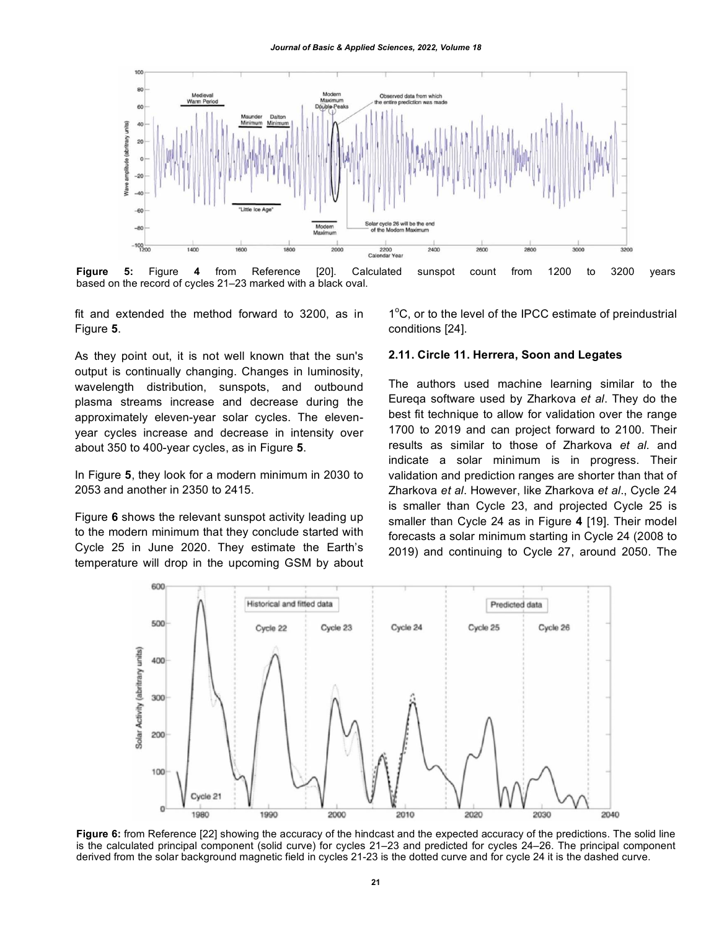*Journal of Basic & Applied Sciences, 2022, Volume 18*



**Figure 5:** Figure **4** from Reference [20]. Calculated sunspot count from 1200 to 3200 years based on the record of cycles 21–23 marked with a black oval.

fit and extended the method forward to 3200, as in Figure **5**.

As they point out, it is not well known that the sun's output is continually changing. Changes in luminosity, wavelength distribution, sunspots, and outbound plasma streams increase and decrease during the approximately eleven-year solar cycles. The elevenyear cycles increase and decrease in intensity over about 350 to 400-year cycles, as in Figure **5**.

In Figure **5**, they look for a modern minimum in 2030 to 2053 and another in 2350 to 2415.

Figure **6** shows the relevant sunspot activity leading up to the modern minimum that they conclude started with Cycle 25 in June 2020. They estimate the Earth's temperature will drop in the upcoming GSM by about

1°C, or to the level of the IPCC estimate of preindustrial conditions [24].

#### **2.11. Circle 11. Herrera, Soon and Legates**

The authors used machine learning similar to the Eureqa software used by Zharkova *et al*. They do the best fit technique to allow for validation over the range 1700 to 2019 and can project forward to 2100. Their results as similar to those of Zharkova *et al*. and indicate a solar minimum is in progress. Their validation and prediction ranges are shorter than that of Zharkova *et al*. However, like Zharkova *et al*., Cycle 24 is smaller than Cycle 23, and projected Cycle 25 is smaller than Cycle 24 as in Figure **4** [19]. Their model forecasts a solar minimum starting in Cycle 24 (2008 to 2019) and continuing to Cycle 27, around 2050. The



**Figure 6:** from Reference [22] showing the accuracy of the hindcast and the expected accuracy of the predictions. The solid line is the calculated principal component (solid curve) for cycles 21–23 and predicted for cycles 24–26. The principal component derived from the solar background magnetic field in cycles 21-23 is the dotted curve and for cycle 24 it is the dashed curve.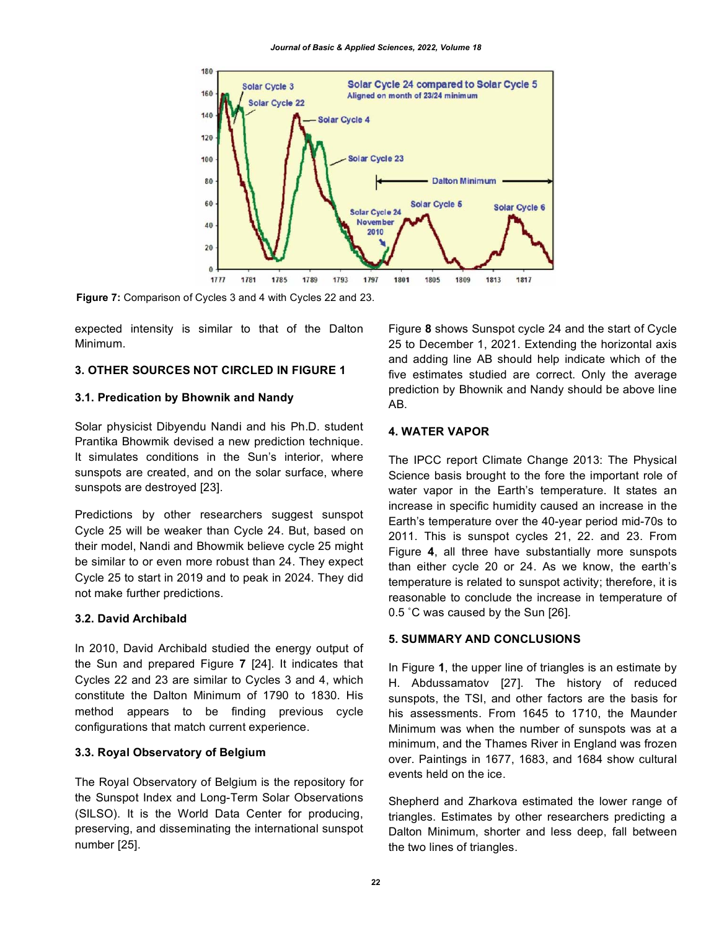

**Figure 7:** Comparison of Cycles 3 and 4 with Cycles 22 and 23.

expected intensity is similar to that of the Dalton Minimum.

#### **3. OTHER SOURCES NOT CIRCLED IN FIGURE 1**

#### **3.1. Predication by Bhownik and Nandy**

Solar physicist Dibyendu Nandi and his Ph.D. student Prantika Bhowmik devised a new prediction technique. It simulates conditions in the Sun's interior, where sunspots are created, and on the solar surface, where sunspots are destroyed [23].

Predictions by other researchers suggest sunspot Cycle 25 will be weaker than Cycle 24. But, based on their model, Nandi and Bhowmik believe cycle 25 might be similar to or even more robust than 24. They expect Cycle 25 to start in 2019 and to peak in 2024. They did not make further predictions.

#### **3.2. David Archibald**

In 2010, David Archibald studied the energy output of the Sun and prepared Figure **7** [24]. It indicates that Cycles 22 and 23 are similar to Cycles 3 and 4, which constitute the Dalton Minimum of 1790 to 1830. His method appears to be finding previous cycle configurations that match current experience.

#### **3.3. Royal Observatory of Belgium**

The Royal Observatory of Belgium is the repository for the Sunspot Index and Long-Term Solar Observations (SILSO). It is the World Data Center for producing, preserving, and disseminating the international sunspot number [25].

Figure **8** shows Sunspot cycle 24 and the start of Cycle 25 to December 1, 2021. Extending the horizontal axis and adding line AB should help indicate which of the five estimates studied are correct. Only the average prediction by Bhownik and Nandy should be above line AB.

## **4. WATER VAPOR**

The IPCC report Climate Change 2013: The Physical Science basis brought to the fore the important role of water vapor in the Earth's temperature. It states an increase in specific humidity caused an increase in the Earth's temperature over the 40-year period mid-70s to 2011. This is sunspot cycles 21, 22. and 23. From Figure **4**, all three have substantially more sunspots than either cycle 20 or 24. As we know, the earth's temperature is related to sunspot activity; therefore, it is reasonable to conclude the increase in temperature of 0.5 ˚C was caused by the Sun [26].

## **5. SUMMARY AND CONCLUSIONS**

In Figure **1**, the upper line of triangles is an estimate by H. Abdussamatov [27]. The history of reduced sunspots, the TSI, and other factors are the basis for his assessments. From 1645 to 1710, the Maunder Minimum was when the number of sunspots was at a minimum, and the Thames River in England was frozen over. Paintings in 1677, 1683, and 1684 show cultural events held on the ice.

Shepherd and Zharkova estimated the lower range of triangles. Estimates by other researchers predicting a Dalton Minimum, shorter and less deep, fall between the two lines of triangles.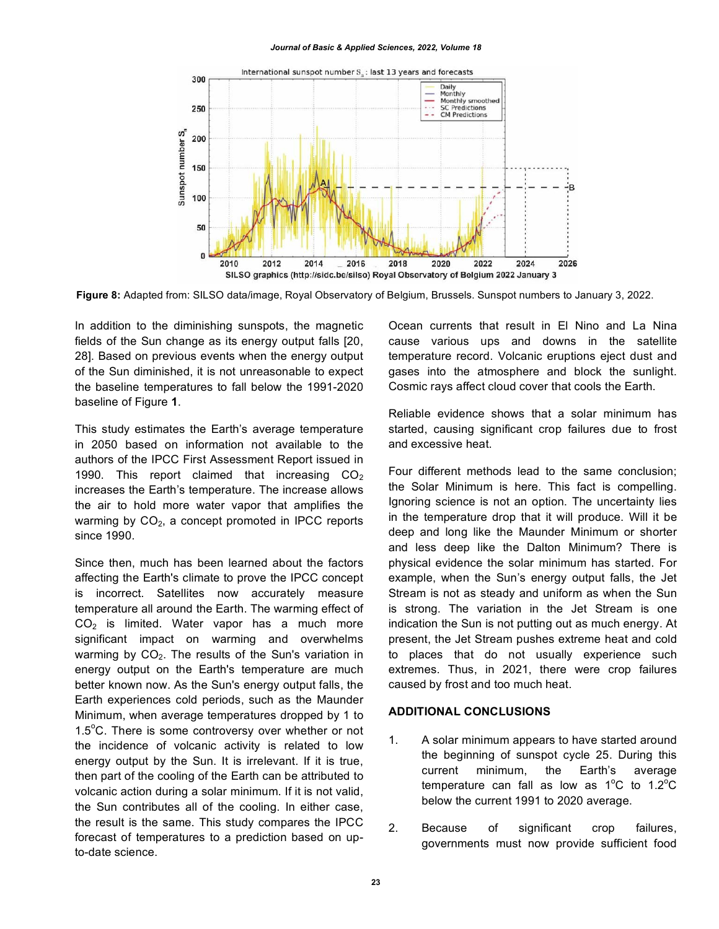#### *Journal of Basic & Applied Sciences, 2022, Volume 18*



**Figure 8:** Adapted from: SILSO data/image, Royal Observatory of Belgium, Brussels. Sunspot numbers to January 3, 2022.

In addition to the diminishing sunspots, the magnetic fields of the Sun change as its energy output falls [20, 28]. Based on previous events when the energy output of the Sun diminished, it is not unreasonable to expect the baseline temperatures to fall below the 1991-2020 baseline of Figure **1**.

This study estimates the Earth's average temperature in 2050 based on information not available to the authors of the IPCC First Assessment Report issued in 1990. This report claimed that increasing  $CO<sub>2</sub>$ increases the Earth's temperature. The increase allows the air to hold more water vapor that amplifies the warming by  $CO<sub>2</sub>$ , a concept promoted in IPCC reports since 1990.

Since then, much has been learned about the factors affecting the Earth's climate to prove the IPCC concept is incorrect. Satellites now accurately measure temperature all around the Earth. The warming effect of  $CO<sub>2</sub>$  is limited. Water vapor has a much more significant impact on warming and overwhelms warming by  $CO<sub>2</sub>$ . The results of the Sun's variation in energy output on the Earth's temperature are much better known now. As the Sun's energy output falls, the Earth experiences cold periods, such as the Maunder Minimum, when average temperatures dropped by 1 to 1.5°C. There is some controversy over whether or not the incidence of volcanic activity is related to low energy output by the Sun. It is irrelevant. If it is true, then part of the cooling of the Earth can be attributed to volcanic action during a solar minimum. If it is not valid, the Sun contributes all of the cooling. In either case, the result is the same. This study compares the IPCC forecast of temperatures to a prediction based on upto-date science.

Ocean currents that result in El Nino and La Nina cause various ups and downs in the satellite temperature record. Volcanic eruptions eject dust and gases into the atmosphere and block the sunlight. Cosmic rays affect cloud cover that cools the Earth.

Reliable evidence shows that a solar minimum has started, causing significant crop failures due to frost and excessive heat.

Four different methods lead to the same conclusion; the Solar Minimum is here. This fact is compelling. Ignoring science is not an option. The uncertainty lies in the temperature drop that it will produce. Will it be deep and long like the Maunder Minimum or shorter and less deep like the Dalton Minimum? There is physical evidence the solar minimum has started. For example, when the Sun's energy output falls, the Jet Stream is not as steady and uniform as when the Sun is strong. The variation in the Jet Stream is one indication the Sun is not putting out as much energy. At present, the Jet Stream pushes extreme heat and cold to places that do not usually experience such extremes. Thus, in 2021, there were crop failures caused by frost and too much heat.

#### **ADDITIONAL CONCLUSIONS**

- 1. A solar minimum appears to have started around the beginning of sunspot cycle 25. During this current minimum, the Earth's average temperature can fall as low as  $1^{\circ}$ C to  $1.2^{\circ}$ C below the current 1991 to 2020 average.
- 2. Because of significant crop failures, governments must now provide sufficient food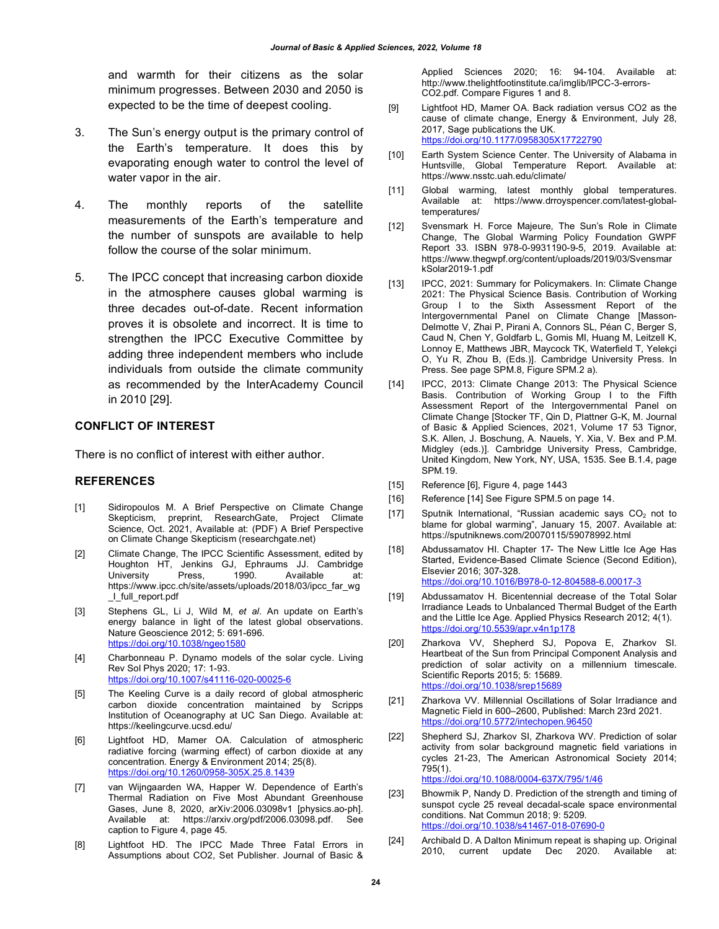and warmth for their citizens as the solar minimum progresses. Between 2030 and 2050 is expected to be the time of deepest cooling.

- 3. The Sun's energy output is the primary control of the Earth's temperature. It does this by evaporating enough water to control the level of water vapor in the air.
- 4. The monthly reports of the satellite measurements of the Earth's temperature and the number of sunspots are available to help follow the course of the solar minimum.
- 5. The IPCC concept that increasing carbon dioxide in the atmosphere causes global warming is three decades out-of-date. Recent information proves it is obsolete and incorrect. It is time to strengthen the IPCC Executive Committee by adding three independent members who include individuals from outside the climate community as recommended by the InterAcademy Council in 2010 [29].

#### **CONFLICT OF INTEREST**

There is no conflict of interest with either author.

#### **REFERENCES**

- [1] Sidiropoulos M. A Brief Perspective on Climate Change Skepticism, preprint, ResearchGate, Project Climate Science, Oct. 2021, Available at: (PDF) A Brief Perspective on Climate Change Skepticism (researchgate.net)
- [2] Climate Change, The IPCC Scientific Assessment, edited by Houghton HT, Jenkins GJ, Ephraums JJ. Cambridge University Press, 1990. Available at: https://www.ipcc.ch/site/assets/uploads/2018/03/ipcc\_far\_wg \_I\_full\_report.pdf
- [3] Stephens GL, Li J, Wild M, *et al*. An update on Earth's energy balance in light of the latest global observations. Nature Geoscience 2012; 5: 691-696. https://doi.org/10.1038/ngeo1580
- [4] Charbonneau P. Dynamo models of the solar cycle. Living Rev Sol Phys 2020; 17: 1-93. https://doi.org/10.1007/s41116-020-00025-6
- [5] The Keeling Curve is a daily record of global atmospheric carbon dioxide concentration maintained by Scripps Institution of Oceanography at UC San Diego. Available at: https://keelingcurve.ucsd.edu/
- [6] Lightfoot HD, Mamer OA. Calculation of atmospheric radiative forcing (warming effect) of carbon dioxide at any concentration. Energy & Environment 2014; 25(8). https://doi.org/10.1260/0958-305X.25.8.1439
- [7] van Wijngaarden WA, Happer W. Dependence of Earth's Thermal Radiation on Five Most Abundant Greenhouse Gases, June 8, 2020, arXiv:2006.03098v1 [physics.ao-ph]. Available at: https://arxiv.org/pdf/2006.03098.pdf. See caption to Figure 4, page 45.
- [8] Lightfoot HD. The IPCC Made Three Fatal Errors in Assumptions about CO2, Set Publisher. Journal of Basic &

Applied Sciences 2020; 16: 94-104. Available at: http://www.thelightfootinstitute.ca/imglib/IPCC-3-errors-CO2.pdf. Compare Figures 1 and 8.

- [9] Lightfoot HD, Mamer OA. Back radiation versus CO2 as the cause of climate change, Energy & Environment, July 28, 2017, Sage publications the UK. https://doi.org/10.1177/0958305X17722790
- [10] Earth System Science Center. The University of Alabama in Huntsville, Global Temperature Report. Available at: https://www.nsstc.uah.edu/climate/
- [11] Global warming, latest monthly global temperatures. Available at: https://www.drroyspencer.com/latest-globaltemperatures/
- [12] Svensmark H. Force Majeure, The Sun's Role in Climate Change, The Global Warming Policy Foundation GWPF Report 33. ISBN 978-0-9931190-9-5, 2019. Available at: https://www.thegwpf.org/content/uploads/2019/03/Svensmar kSolar2019-1.pdf
- [13] IPCC, 2021: Summary for Policymakers. In: Climate Change 2021: The Physical Science Basis. Contribution of Working Group I to the Sixth Assessment Report of the Intergovernmental Panel on Climate Change [Masson-Delmotte V, Zhai P, Pirani A, Connors SL, Péan C, Berger S, Caud N, Chen Y, Goldfarb L, Gomis MI, Huang M, Leitzell K, Lonnoy E, Matthews JBR, Maycock TK, Waterfield T, Yelekçi O, Yu R, Zhou B, (Eds.)]. Cambridge University Press. In Press. See page SPM.8, Figure SPM.2 a).
- [14] IPCC, 2013: Climate Change 2013: The Physical Science Basis. Contribution of Working Group I to the Fifth Assessment Report of the Intergovernmental Panel on Climate Change [Stocker TF, Qin D, Plattner G-K, M. Journal of Basic & Applied Sciences, 2021, Volume 17 53 Tignor, S.K. Allen, J. Boschung, A. Nauels, Y. Xia, V. Bex and P.M. Midgley (eds.)]. Cambridge University Press, Cambridge, United Kingdom, New York, NY, USA, 1535. See B.1.4, page SPM.19.
- [15] Reference [6], Figure 4, page 1443
- [16] Reference [14] See Figure SPM.5 on page 14.
- [17] Sputnik International, "Russian academic says  $CO<sub>2</sub>$  not to blame for global warming", January 15, 2007. Available at: https://sputniknews.com/20070115/59078992.html
- [18] Abdussamatov HI. Chapter 17- The New Little Ice Age Has Started, Evidence-Based Climate Science (Second Edition), Elsevier 2016; 307-328. https://doi.org/10.1016/B978-0-12-804588-6.00017-3
- [19] Abdussamatov H. Bicentennial decrease of the Total Solar Irradiance Leads to Unbalanced Thermal Budget of the Earth and the Little Ice Age. Applied Physics Research 2012; 4(1). https://doi.org/10.5539/apr.v4n1p178
- [20] Zharkova VV, Shepherd SJ, Popova E, Zharkov SI. Heartbeat of the Sun from Principal Component Analysis and prediction of solar activity on a millennium timescale. Scientific Reports 2015; 5: 15689. https://doi.org/10.1038/srep15689
- [21] Zharkova VV. Millennial Oscillations of Solar Irradiance and Magnetic Field in 600–2600, Published: March 23rd 2021. https://doi.org/10.5772/intechopen.96450
- [22] Shepherd SJ, Zharkov SI, Zharkova WV. Prediction of solar activity from solar background magnetic field variations in cycles 21-23, The American Astronomical Society 2014; 795(1). https://doi.org/10.1088/0004-637X/795/1/46
- [23] Bhowmik P, Nandy D. Prediction of the strength and timing of sunspot cycle 25 reveal decadal-scale space environmental conditions. Nat Commun 2018; 9: 5209. https://doi.org/10.1038/s41467-018-07690-0
- [24] Archibald D. A Dalton Minimum repeat is shaping up. Original current update Dec 2020. Available at: